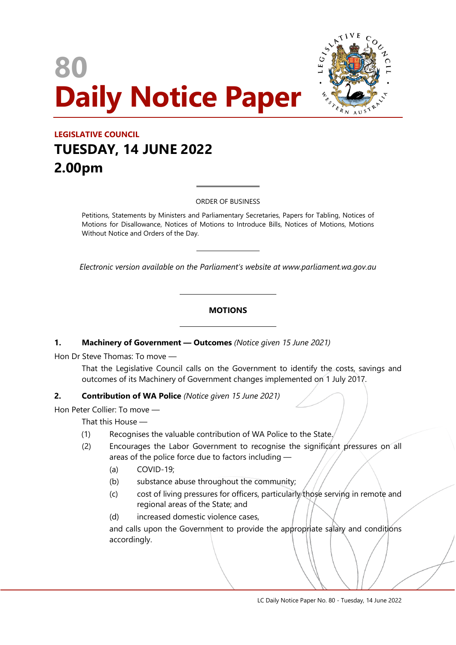# **80 Daily Notice Paper**



# **LEGISLATIVE COUNCIL TUESDAY, 14 JUNE 2022 2.00pm**

ORDER OF BUSINESS

 $\overline{a}$ 

 $\overline{a}$ 

Petitions, Statements by Ministers and Parliamentary Secretaries, Papers for Tabling, Notices of Motions for Disallowance, Notices of Motions to Introduce Bills, Notices of Motions, Motions Without Notice and Orders of the Day.

*Electronic version available on the Parliament's website at www.parliament.wa.gov.au*

#### **MOTIONS**

#### **1. Machinery of Government — Outcomes** *(Notice given 15 June 2021)*

 $\overline{\phantom{a}}$ 

 $\overline{\phantom{a}}$ 

Hon Dr Steve Thomas: To move —

That the Legislative Council calls on the Government to identify the costs, savings and outcomes of its Machinery of Government changes implemented on 1 July 2017.

#### **2. Contribution of WA Police** *(Notice given 15 June 2021)*

Hon Peter Collier: To move —

That this House —

- (1) Recognises the valuable contribution of WA Police to the State.
- (2) Encourages the Labor Government to recognise the significant pressures on all areas of the police force due to factors including —
	- (a) COVID-19;
	- (b) substance abuse throughout the community;
	- (c) cost of living pressures for officers, particularly those serving in remote and regional areas of the State; and
	- (d) increased domestic violence cases,

and calls upon the Government to provide the appropriate salary and conditions accordingly.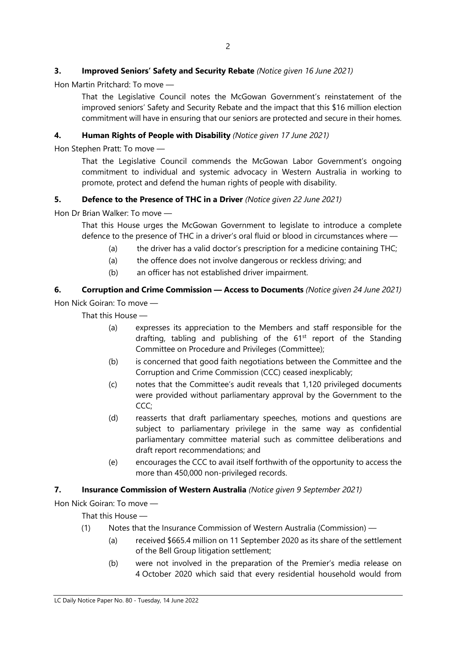# **3. Improved Seniors' Safety and Security Rebate** *(Notice given 16 June 2021)*

Hon Martin Pritchard: To move —

That the Legislative Council notes the McGowan Government's reinstatement of the improved seniors' Safety and Security Rebate and the impact that this \$16 million election commitment will have in ensuring that our seniors are protected and secure in their homes.

#### **4. Human Rights of People with Disability** *(Notice given 17 June 2021)*

Hon Stephen Pratt: To move —

That the Legislative Council commends the McGowan Labor Government's ongoing commitment to individual and systemic advocacy in Western Australia in working to promote, protect and defend the human rights of people with disability.

#### **5. Defence to the Presence of THC in a Driver** *(Notice given 22 June 2021)*

Hon Dr Brian Walker: To move —

That this House urges the McGowan Government to legislate to introduce a complete defence to the presence of THC in a driver's oral fluid or blood in circumstances where —

- (a) the driver has a valid doctor's prescription for a medicine containing THC;
- (a) the offence does not involve dangerous or reckless driving; and
- (b) an officer has not established driver impairment.

# **6. Corruption and Crime Commission — Access to Documents** *(Notice given 24 June 2021)* Hon Nick Goiran: To move —

That this House —

- (a) expresses its appreciation to the Members and staff responsible for the drafting, tabling and publishing of the  $61<sup>st</sup>$  report of the Standing Committee on Procedure and Privileges (Committee);
- (b) is concerned that good faith negotiations between the Committee and the Corruption and Crime Commission (CCC) ceased inexplicably;
- (c) notes that the Committee's audit reveals that 1,120 privileged documents were provided without parliamentary approval by the Government to the CCC:
- (d) reasserts that draft parliamentary speeches, motions and questions are subject to parliamentary privilege in the same way as confidential parliamentary committee material such as committee deliberations and draft report recommendations; and
- (e) encourages the CCC to avail itself forthwith of the opportunity to access the more than 450,000 non-privileged records.

#### **7. Insurance Commission of Western Australia** *(Notice given 9 September 2021)*

Hon Nick Goiran: To move —

That this House —

- (1) Notes that the Insurance Commission of Western Australia (Commission)
	- (a) received \$665.4 million on 11 September 2020 as its share of the settlement of the Bell Group litigation settlement;
	- (b) were not involved in the preparation of the Premier's media release on 4 October 2020 which said that every residential household would from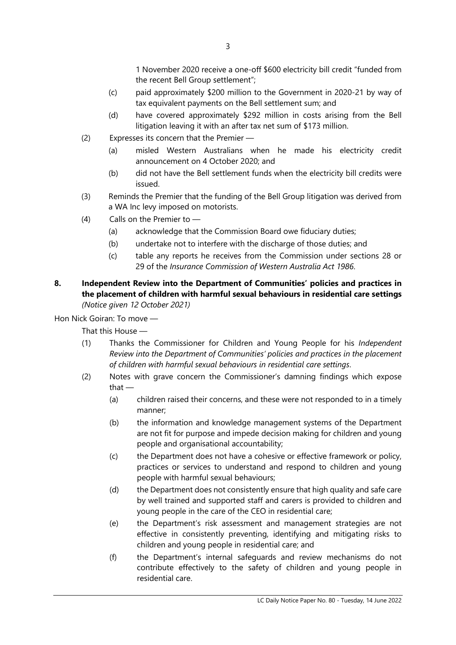1 November 2020 receive a one-off \$600 electricity bill credit "funded from the recent Bell Group settlement";

- (c) paid approximately \$200 million to the Government in 2020-21 by way of tax equivalent payments on the Bell settlement sum; and
- (d) have covered approximately \$292 million in costs arising from the Bell litigation leaving it with an after tax net sum of \$173 million.
- (2) Expresses its concern that the Premier
	- (a) misled Western Australians when he made his electricity credit announcement on 4 October 2020; and
	- (b) did not have the Bell settlement funds when the electricity bill credits were issued.
- (3) Reminds the Premier that the funding of the Bell Group litigation was derived from a WA Inc levy imposed on motorists.
- (4) Calls on the Premier to
	- (a) acknowledge that the Commission Board owe fiduciary duties;
	- (b) undertake not to interfere with the discharge of those duties; and
	- (c) table any reports he receives from the Commission under sections 28 or 29 of the *Insurance Commission of Western Australia Act 1986*.
- **8. Independent Review into the Department of Communities' policies and practices in the placement of children with harmful sexual behaviours in residential care settings** *(Notice given 12 October 2021)*

Hon Nick Goiran: To move —

That this House —

- (1) Thanks the Commissioner for Children and Young People for his *Independent Review into the Department of Communities' policies and practices in the placement of children with harmful sexual behaviours in residential care settings*.
- (2) Notes with grave concern the Commissioner's damning findings which expose that —
	- (a) children raised their concerns, and these were not responded to in a timely manner;
	- (b) the information and knowledge management systems of the Department are not fit for purpose and impede decision making for children and young people and organisational accountability;
	- (c) the Department does not have a cohesive or effective framework or policy, practices or services to understand and respond to children and young people with harmful sexual behaviours;
	- (d) the Department does not consistently ensure that high quality and safe care by well trained and supported staff and carers is provided to children and young people in the care of the CEO in residential care;
	- (e) the Department's risk assessment and management strategies are not effective in consistently preventing, identifying and mitigating risks to children and young people in residential care; and
	- (f) the Department's internal safeguards and review mechanisms do not contribute effectively to the safety of children and young people in residential care.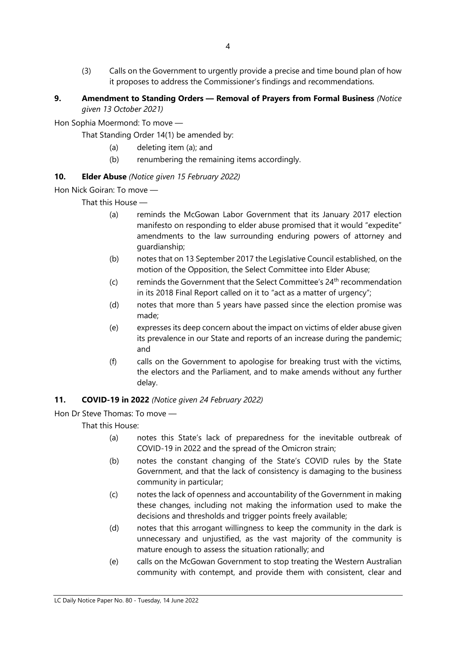- (3) Calls on the Government to urgently provide a precise and time bound plan of how it proposes to address the Commissioner's findings and recommendations.
- **9. Amendment to Standing Orders — Removal of Prayers from Formal Business** *(Notice given 13 October 2021)*

Hon Sophia Moermond: To move —

That Standing Order 14(1) be amended by:

- (a) deleting item (a); and
- (b) renumbering the remaining items accordingly.

# **10. Elder Abuse** *(Notice given 15 February 2022)*

Hon Nick Goiran: To move —

That this House —

- (a) reminds the McGowan Labor Government that its January 2017 election manifesto on responding to elder abuse promised that it would "expedite" amendments to the law surrounding enduring powers of attorney and guardianship;
- (b) notes that on 13 September 2017 the Legislative Council established, on the motion of the Opposition, the Select Committee into Elder Abuse;
- (c) reminds the Government that the Select Committee's  $24<sup>th</sup>$  recommendation in its 2018 Final Report called on it to "act as a matter of urgency";
- (d) notes that more than 5 years have passed since the election promise was made;
- (e) expresses its deep concern about the impact on victims of elder abuse given its prevalence in our State and reports of an increase during the pandemic; and
- (f) calls on the Government to apologise for breaking trust with the victims, the electors and the Parliament, and to make amends without any further delay.

#### **11. COVID-19 in 2022** *(Notice given 24 February 2022)*

Hon Dr Steve Thomas: To move —

That this House:

- (a) notes this State's lack of preparedness for the inevitable outbreak of COVID-19 in 2022 and the spread of the Omicron strain;
- (b) notes the constant changing of the State's COVID rules by the State Government, and that the lack of consistency is damaging to the business community in particular;
- (c) notes the lack of openness and accountability of the Government in making these changes, including not making the information used to make the decisions and thresholds and trigger points freely available;
- (d) notes that this arrogant willingness to keep the community in the dark is unnecessary and unjustified, as the vast majority of the community is mature enough to assess the situation rationally; and
- (e) calls on the McGowan Government to stop treating the Western Australian community with contempt, and provide them with consistent, clear and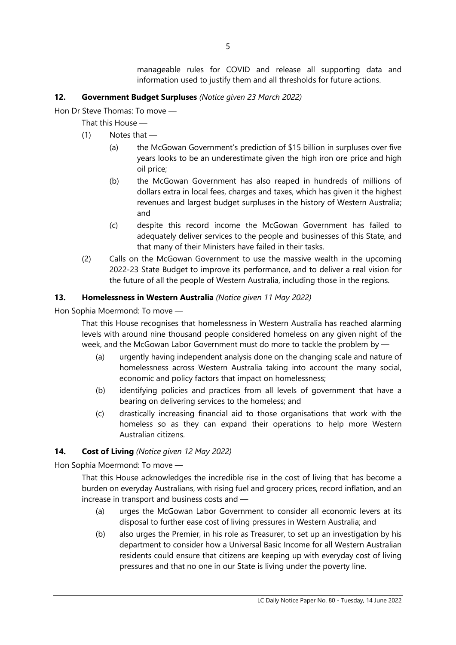manageable rules for COVID and release all supporting data and information used to justify them and all thresholds for future actions.

# **12. Government Budget Surpluses** *(Notice given 23 March 2022)*

Hon Dr Steve Thomas: To move —

That this House —

- (1) Notes that
	- (a) the McGowan Government's prediction of \$15 billion in surpluses over five years looks to be an underestimate given the high iron ore price and high oil price;
	- (b) the McGowan Government has also reaped in hundreds of millions of dollars extra in local fees, charges and taxes, which has given it the highest revenues and largest budget surpluses in the history of Western Australia; and
	- (c) despite this record income the McGowan Government has failed to adequately deliver services to the people and businesses of this State, and that many of their Ministers have failed in their tasks.
- (2) Calls on the McGowan Government to use the massive wealth in the upcoming 2022-23 State Budget to improve its performance, and to deliver a real vision for the future of all the people of Western Australia, including those in the regions.

# **13. Homelessness in Western Australia** *(Notice given 11 May 2022)*

Hon Sophia Moermond: To move —

That this House recognises that homelessness in Western Australia has reached alarming levels with around nine thousand people considered homeless on any given night of the week, and the McGowan Labor Government must do more to tackle the problem by —

- (a) urgently having independent analysis done on the changing scale and nature of homelessness across Western Australia taking into account the many social, economic and policy factors that impact on homelessness;
- (b) identifying policies and practices from all levels of government that have a bearing on delivering services to the homeless; and
- (c) drastically increasing financial aid to those organisations that work with the homeless so as they can expand their operations to help more Western Australian citizens.

#### **14. Cost of Living** *(Notice given 12 May 2022)*

Hon Sophia Moermond: To move —

That this House acknowledges the incredible rise in the cost of living that has become a burden on everyday Australians, with rising fuel and grocery prices, record inflation, and an increase in transport and business costs and —

- (a) urges the McGowan Labor Government to consider all economic levers at its disposal to further ease cost of living pressures in Western Australia; and
- (b) also urges the Premier, in his role as Treasurer, to set up an investigation by his department to consider how a Universal Basic Income for all Western Australian residents could ensure that citizens are keeping up with everyday cost of living pressures and that no one in our State is living under the poverty line.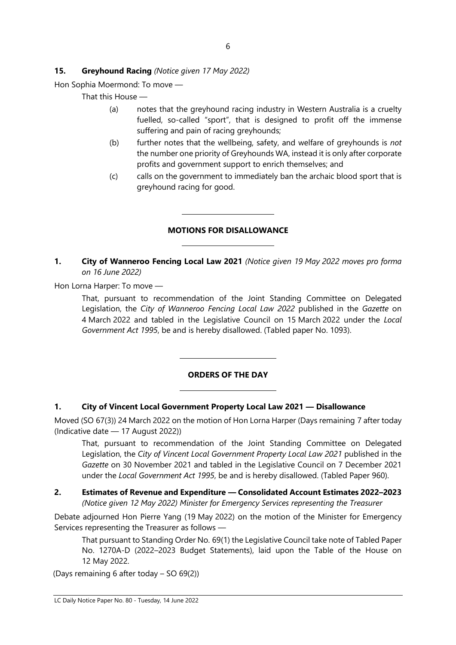# **15. Greyhound Racing** *(Notice given 17 May 2022)*

Hon Sophia Moermond: To move —

That this House —

- (a) notes that the greyhound racing industry in Western Australia is a cruelty fuelled, so-called "sport", that is designed to profit off the immense suffering and pain of racing greyhounds;
- (b) further notes that the wellbeing, safety, and welfare of greyhounds is *not*  the number one priority of Greyhounds WA, instead it is only after corporate profits and government support to enrich themselves; and
- (c) calls on the government to immediately ban the archaic blood sport that is greyhound racing for good.

# **MOTIONS FOR DISALLOWANCE**

 $\overline{a}$ 

 $\overline{a}$ 

 $\overline{\phantom{a}}$ 

 $\overline{\phantom{a}}$ 

**1. City of Wanneroo Fencing Local Law 2021** *(Notice given 19 May 2022 moves pro forma on 16 June 2022)*

Hon Lorna Harper: To move —

That, pursuant to recommendation of the Joint Standing Committee on Delegated Legislation, the *City of Wanneroo Fencing Local Law 2022* published in the *Gazette* on 4 March 2022 and tabled in the Legislative Council on 15 March 2022 under the *Local Government Act 1995*, be and is hereby disallowed. (Tabled paper No. 1093).

#### **ORDERS OF THE DAY**

#### **1. City of Vincent Local Government Property Local Law 2021 — Disallowance**

Moved (SO 67(3)) 24 March 2022 on the motion of Hon Lorna Harper (Days remaining 7 after today (Indicative date — 17 August 2022))

That, pursuant to recommendation of the Joint Standing Committee on Delegated Legislation, the *City of Vincent Local Government Property Local Law 2021* published in the *Gazette* on 30 November 2021 and tabled in the Legislative Council on 7 December 2021 under the *Local Government Act 1995*, be and is hereby disallowed. (Tabled Paper 960).

**2. Estimates of Revenue and Expenditure — Consolidated Account Estimates 2022–2023** *(Notice given 12 May 2022) Minister for Emergency Services representing the Treasurer*

Debate adjourned Hon Pierre Yang (19 May 2022) on the motion of the Minister for Emergency Services representing the Treasurer as follows —

That pursuant to Standing Order No. 69(1) the Legislative Council take note of Tabled Paper No. 1270A-D (2022–2023 Budget Statements), laid upon the Table of the House on 12 May 2022.

(Days remaining 6 after today – SO 69(2))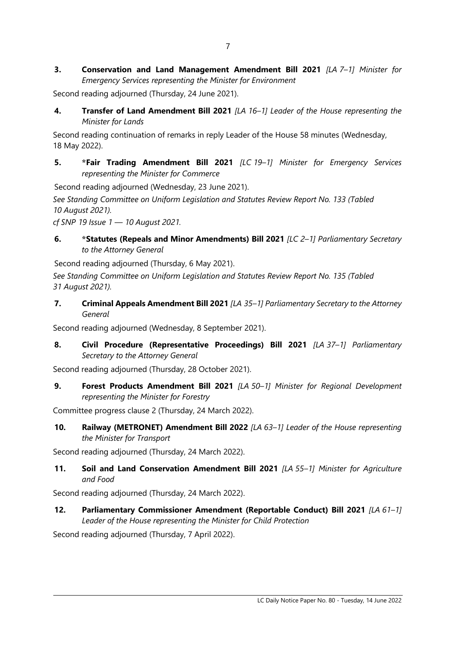**3. Conservation and Land Management Amendment Bill 2021** *[LA 7–1] Minister for Emergency Services representing the Minister for Environment*

Second reading adjourned (Thursday, 24 June 2021).

**4. Transfer of Land Amendment Bill 2021** *[LA 16–1] Leader of the House representing the Minister for Lands*

Second reading continuation of remarks in reply Leader of the House 58 minutes (Wednesday, 18 May 2022).

**5. \*Fair Trading Amendment Bill 2021** *[LC 19–1] Minister for Emergency Services representing the Minister for Commerce*

Second reading adjourned (Wednesday, 23 June 2021).

*See Standing Committee on Uniform Legislation and Statutes Review Report No. 133 (Tabled 10 August 2021).*

*cf SNP 19 Issue 1 — 10 August 2021.*

**6. \*Statutes (Repeals and Minor Amendments) Bill 2021** *[LC 2–1] Parliamentary Secretary to the Attorney General*

Second reading adjourned (Thursday, 6 May 2021).

*See Standing Committee on Uniform Legislation and Statutes Review Report No. 135 (Tabled 31 August 2021).*

**7. Criminal Appeals Amendment Bill 2021** *[LA 35–1] Parliamentary Secretary to the Attorney General*

Second reading adjourned (Wednesday, 8 September 2021).

**8. Civil Procedure (Representative Proceedings) Bill 2021** *[LA 37–1] Parliamentary Secretary to the Attorney General*

Second reading adjourned (Thursday, 28 October 2021).

**9. Forest Products Amendment Bill 2021** *[LA 50–1] Minister for Regional Development representing the Minister for Forestry*

Committee progress clause 2 (Thursday, 24 March 2022).

**10. Railway (METRONET) Amendment Bill 2022** *[LA 63–1] Leader of the House representing the Minister for Transport*

Second reading adjourned (Thursday, 24 March 2022).

**11. Soil and Land Conservation Amendment Bill 2021** *[LA 55–1] Minister for Agriculture and Food*

Second reading adjourned (Thursday, 24 March 2022).

**12. Parliamentary Commissioner Amendment (Reportable Conduct) Bill 2021** *[LA 61–1] Leader of the House representing the Minister for Child Protection*

Second reading adjourned (Thursday, 7 April 2022).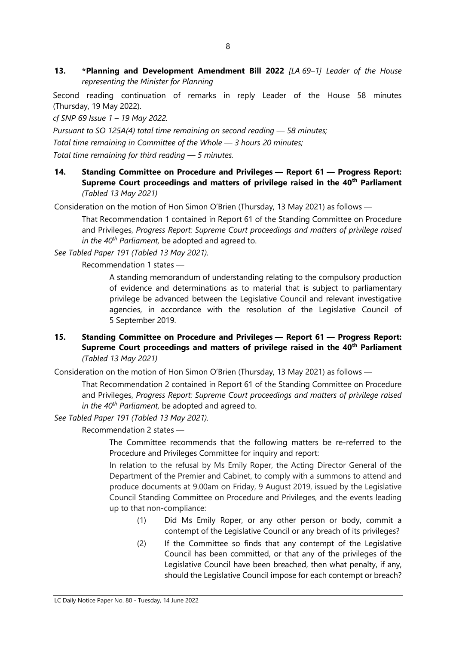**13. \*Planning and Development Amendment Bill 2022** *[LA 69–1] Leader of the House representing the Minister for Planning*

Second reading continuation of remarks in reply Leader of the House 58 minutes (Thursday, 19 May 2022).

*cf SNP 69 Issue 1 – 19 May 2022.*

*Pursuant to SO 125A(4) total time remaining on second reading — 58 minutes; Total time remaining in Committee of the Whole — 3 hours 20 minutes; Total time remaining for third reading — 5 minutes.*

**14. Standing Committee on Procedure and Privileges — Report 61 — Progress Report: Supreme Court proceedings and matters of privilege raised in the 40th Parliament** *(Tabled 13 May 2021)*

Consideration on the motion of Hon Simon O'Brien (Thursday, 13 May 2021) as follows —

That Recommendation 1 contained in Report 61 of the Standing Committee on Procedure and Privileges, *Progress Report: Supreme Court proceedings and matters of privilege raised in the 40th Parliament,* be adopted and agreed to.

*See Tabled Paper 191 (Tabled 13 May 2021).*

Recommendation 1 states —

A standing memorandum of understanding relating to the compulsory production of evidence and determinations as to material that is subject to parliamentary privilege be advanced between the Legislative Council and relevant investigative agencies, in accordance with the resolution of the Legislative Council of 5 September 2019.

#### **15. Standing Committee on Procedure and Privileges — Report 61 — Progress Report: Supreme Court proceedings and matters of privilege raised in the 40th Parliament** *(Tabled 13 May 2021)*

Consideration on the motion of Hon Simon O'Brien (Thursday, 13 May 2021) as follows —

That Recommendation 2 contained in Report 61 of the Standing Committee on Procedure and Privileges, *Progress Report: Supreme Court proceedings and matters of privilege raised in the 40th Parliament,* be adopted and agreed to.

*See Tabled Paper 191 (Tabled 13 May 2021).*

Recommendation 2 states —

The Committee recommends that the following matters be re-referred to the Procedure and Privileges Committee for inquiry and report:

In relation to the refusal by Ms Emily Roper, the Acting Director General of the Department of the Premier and Cabinet, to comply with a summons to attend and produce documents at 9.00am on Friday, 9 August 2019, issued by the Legislative Council Standing Committee on Procedure and Privileges, and the events leading up to that non-compliance:

- (1) Did Ms Emily Roper, or any other person or body, commit a contempt of the Legislative Council or any breach of its privileges?
- (2) If the Committee so finds that any contempt of the Legislative Council has been committed, or that any of the privileges of the Legislative Council have been breached, then what penalty, if any, should the Legislative Council impose for each contempt or breach?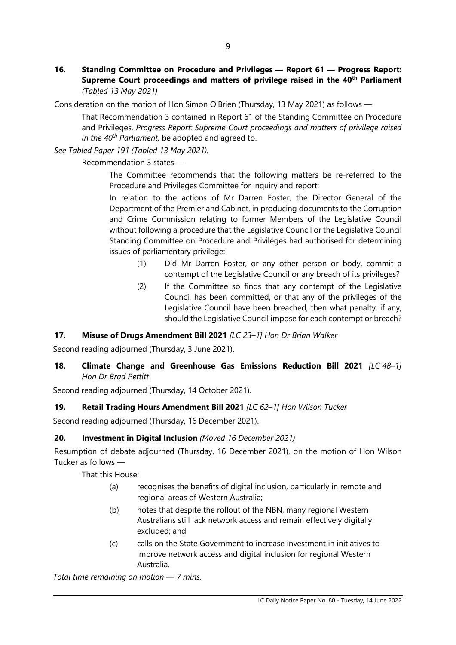**16. Standing Committee on Procedure and Privileges — Report 61 — Progress Report: Supreme Court proceedings and matters of privilege raised in the 40th Parliament** *(Tabled 13 May 2021)*

Consideration on the motion of Hon Simon O'Brien (Thursday, 13 May 2021) as follows —

That Recommendation 3 contained in Report 61 of the Standing Committee on Procedure and Privileges, *Progress Report: Supreme Court proceedings and matters of privilege raised in the 40th Parliament,* be adopted and agreed to.

*See Tabled Paper 191 (Tabled 13 May 2021).*

Recommendation 3 states —

The Committee recommends that the following matters be re-referred to the Procedure and Privileges Committee for inquiry and report:

In relation to the actions of Mr Darren Foster, the Director General of the Department of the Premier and Cabinet, in producing documents to the Corruption and Crime Commission relating to former Members of the Legislative Council without following a procedure that the Legislative Council or the Legislative Council Standing Committee on Procedure and Privileges had authorised for determining issues of parliamentary privilege:

- (1) Did Mr Darren Foster, or any other person or body, commit a contempt of the Legislative Council or any breach of its privileges?
- (2) If the Committee so finds that any contempt of the Legislative Council has been committed, or that any of the privileges of the Legislative Council have been breached, then what penalty, if any, should the Legislative Council impose for each contempt or breach?

# **17. Misuse of Drugs Amendment Bill 2021** *[LC 23–1] Hon Dr Brian Walker*

Second reading adjourned (Thursday, 3 June 2021).

# **18. Climate Change and Greenhouse Gas Emissions Reduction Bill 2021** *[LC 48–1] Hon Dr Brad Pettitt*

Second reading adjourned (Thursday, 14 October 2021).

# **19. Retail Trading Hours Amendment Bill 2021** *[LC 62–1] Hon Wilson Tucker*

Second reading adjourned (Thursday, 16 December 2021).

# **20. Investment in Digital Inclusion** *(Moved 16 December 2021)*

Resumption of debate adjourned (Thursday, 16 December 2021), on the motion of Hon Wilson Tucker as follows —

That this House:

- (a) recognises the benefits of digital inclusion, particularly in remote and regional areas of Western Australia;
- (b) notes that despite the rollout of the NBN, many regional Western Australians still lack network access and remain effectively digitally excluded; and
- (c) calls on the State Government to increase investment in initiatives to improve network access and digital inclusion for regional Western Australia.

*Total time remaining on motion — 7 mins.*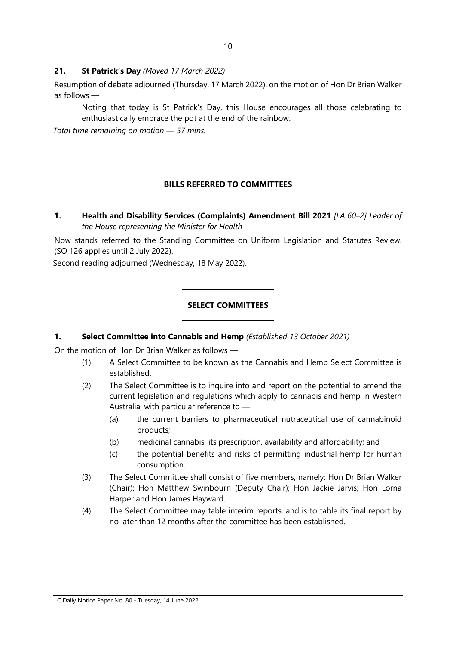#### **21. St Patrick's Day** *(Moved 17 March 2022)*

Resumption of debate adjourned (Thursday, 17 March 2022), on the motion of Hon Dr Brian Walker as follows —

Noting that today is St Patrick's Day, this House encourages all those celebrating to enthusiastically embrace the pot at the end of the rainbow.

*Total time remaining on motion — 57 mins.*

# **BILLS REFERRED TO COMMITTEES**

 $\overline{a}$ 

 $\overline{a}$ 

 $\overline{a}$ 

 $\overline{a}$ 

**1. Health and Disability Services (Complaints) Amendment Bill 2021** *[LA 60–2] Leader of the House representing the Minister for Health* 

Now stands referred to the Standing Committee on Uniform Legislation and Statutes Review. (SO 126 applies until 2 July 2022).

Second reading adjourned (Wednesday, 18 May 2022).

#### **SELECT COMMITTEES**

#### **1. Select Committee into Cannabis and Hemp** *(Established 13 October 2021)*

On the motion of Hon Dr Brian Walker as follows —

- (1) A Select Committee to be known as the Cannabis and Hemp Select Committee is established.
- (2) The Select Committee is to inquire into and report on the potential to amend the current legislation and regulations which apply to cannabis and hemp in Western Australia, with particular reference to —
	- (a) the current barriers to pharmaceutical nutraceutical use of cannabinoid products;
	- (b) medicinal cannabis, its prescription, availability and affordability; and
	- (c) the potential benefits and risks of permitting industrial hemp for human consumption.
- (3) The Select Committee shall consist of five members, namely: Hon Dr Brian Walker (Chair); Hon Matthew Swinbourn (Deputy Chair); Hon Jackie Jarvis; Hon Lorna Harper and Hon James Hayward.
- (4) The Select Committee may table interim reports, and is to table its final report by no later than 12 months after the committee has been established.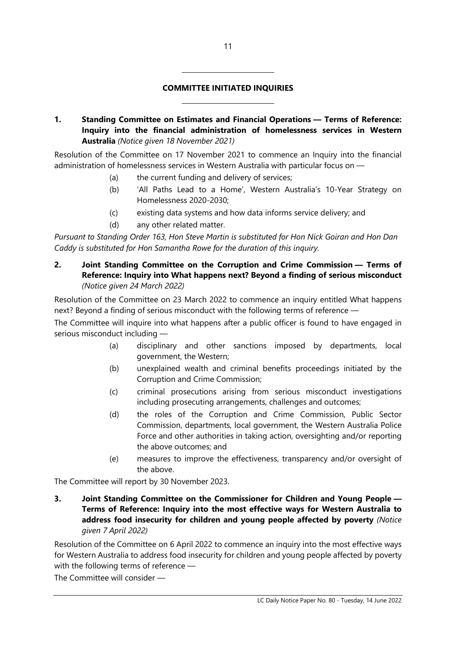**1. Standing Committee on Estimates and Financial Operations — Terms of Reference: Inquiry into the financial administration of homelessness services in Western Australia** *(Notice given 18 November 2021)*

Resolution of the Committee on 17 November 2021 to commence an Inquiry into the financial administration of homelessness services in Western Australia with particular focus on —

(a) the current funding and delivery of services;

 $\overline{a}$ 

 $\overline{a}$ 

- (b) 'All Paths Lead to a Home', Western Australia's 10-Year Strategy on Homelessness 2020-2030;
- (c) existing data systems and how data informs service delivery; and
- (d) any other related matter.

*Pursuant to Standing Order 163, Hon Steve Martin is substituted for Hon Nick Goiran and Hon Dan Caddy is substituted for Hon Samantha Rowe for the duration of this inquiry.*

**2. Joint Standing Committee on the Corruption and Crime Commission — Terms of Reference: Inquiry into What happens next? Beyond a finding of serious misconduct** *(Notice given 24 March 2022)*

Resolution of the Committee on 23 March 2022 to commence an inquiry entitled What happens next? Beyond a finding of serious misconduct with the following terms of reference —

The Committee will inquire into what happens after a public officer is found to have engaged in serious misconduct including —

- (a) disciplinary and other sanctions imposed by departments, local government, the Western;
- (b) unexplained wealth and criminal benefits proceedings initiated by the Corruption and Crime Commission;
- (c) criminal prosecutions arising from serious misconduct investigations including prosecuting arrangements, challenges and outcomes;
- (d) the roles of the Corruption and Crime Commission, Public Sector Commission, departments, local government, the Western Australia Police Force and other authorities in taking action, oversighting and/or reporting the above outcomes; and
- (e) measures to improve the effectiveness, transparency and/or oversight of the above.

The Committee will report by 30 November 2023.

**3. Joint Standing Committee on the Commissioner for Children and Young People — Terms of Reference: Inquiry into the most effective ways for Western Australia to address food insecurity for children and young people affected by poverty** *(Notice given 7 April 2022)*

Resolution of the Committee on 6 April 2022 to commence an inquiry into the most effective ways for Western Australia to address food insecurity for children and young people affected by poverty with the following terms of reference —

The Committee will consider —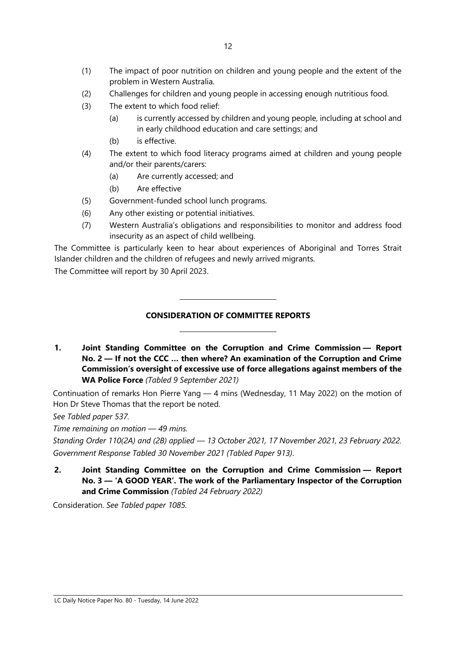- (1) The impact of poor nutrition on children and young people and the extent of the problem in Western Australia.
- (2) Challenges for children and young people in accessing enough nutritious food.
- (3) The extent to which food relief:
	- (a) is currently accessed by children and young people, including at school and in early childhood education and care settings; and
	- (b) is effective.
- (4) The extent to which food literacy programs aimed at children and young people and/or their parents/carers:
	- (a) Are currently accessed; and
	- (b) Are effective
- (5) Government-funded school lunch programs.

 $\overline{\phantom{a}}$ 

 $\overline{\phantom{a}}$ 

- (6) Any other existing or potential initiatives.
- (7) Western Australia's obligations and responsibilities to monitor and address food insecurity as an aspect of child wellbeing.

The Committee is particularly keen to hear about experiences of Aboriginal and Torres Strait Islander children and the children of refugees and newly arrived migrants.

The Committee will report by 30 April 2023.

# **CONSIDERATION OF COMMITTEE REPORTS**

**1. Joint Standing Committee on the Corruption and Crime Commission — Report No. 2 — If not the CCC … then where? An examination of the Corruption and Crime Commission's oversight of excessive use of force allegations against members of the WA Police Force** *(Tabled 9 September 2021)*

Continuation of remarks Hon Pierre Yang — 4 mins (Wednesday, 11 May 2022) on the motion of Hon Dr Steve Thomas that the report be noted.

*See Tabled paper 537.*

*Time remaining on motion — 49 mins.*

*Standing Order 110(2A) and (2B) applied — 13 October 2021, 17 November 2021, 23 February 2022. Government Response Tabled 30 November 2021 (Tabled Paper 913)*.

**2. Joint Standing Committee on the Corruption and Crime Commission — Report No. 3 — 'A GOOD YEAR'. The work of the Parliamentary Inspector of the Corruption and Crime Commission** *(Tabled 24 February 2022)*

Consideration. *See Tabled paper 1085.*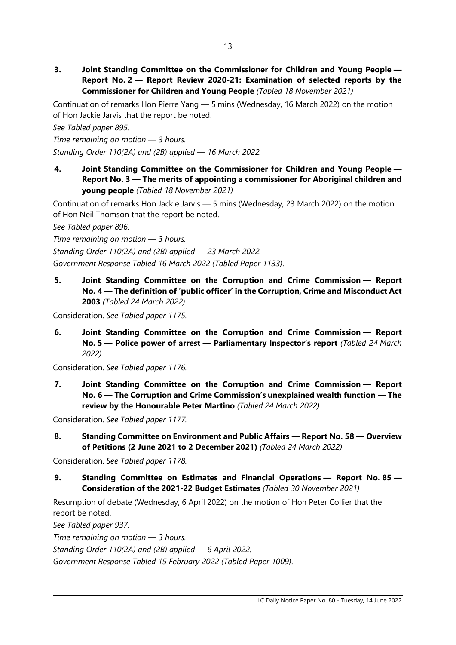**3. Joint Standing Committee on the Commissioner for Children and Young People — Report No. 2 — Report Review 2020-21: Examination of selected reports by the Commissioner for Children and Young People** *(Tabled 18 November 2021)*

Continuation of remarks Hon Pierre Yang — 5 mins (Wednesday, 16 March 2022) on the motion of Hon Jackie Jarvis that the report be noted.

*See Tabled paper 895.*

*Time remaining on motion — 3 hours.*

*Standing Order 110(2A) and (2B) applied — 16 March 2022.*

**4. Joint Standing Committee on the Commissioner for Children and Young People — Report No. 3 — The merits of appointing a commissioner for Aboriginal children and young people** *(Tabled 18 November 2021)*

Continuation of remarks Hon Jackie Jarvis — 5 mins (Wednesday, 23 March 2022) on the motion of Hon Neil Thomson that the report be noted.

*See Tabled paper 896.*

*Time remaining on motion — 3 hours.*

*Standing Order 110(2A) and (2B) applied — 23 March 2022.*

*Government Response Tabled 16 March 2022 (Tabled Paper 1133)*.

**5. Joint Standing Committee on the Corruption and Crime Commission — Report No. 4 — The definition of 'public officer' in the Corruption, Crime and Misconduct Act 2003** *(Tabled 24 March 2022)*

Consideration. *See Tabled paper 1175.*

**6. Joint Standing Committee on the Corruption and Crime Commission — Report No. 5 — Police power of arrest — Parliamentary Inspector's report** *(Tabled 24 March 2022)*

Consideration. *See Tabled paper 1176.*

**7. Joint Standing Committee on the Corruption and Crime Commission — Report No. 6 — The Corruption and Crime Commission's unexplained wealth function — The review by the Honourable Peter Martino** *(Tabled 24 March 2022)*

Consideration. *See Tabled paper 1177.*

**8. Standing Committee on Environment and Public Affairs — Report No. 58 — Overview of Petitions (2 June 2021 to 2 December 2021)** *(Tabled 24 March 2022)*

Consideration. *See Tabled paper 1178.*

**9. Standing Committee on Estimates and Financial Operations — Report No. 85 — Consideration of the 2021-22 Budget Estimates** *(Tabled 30 November 2021)*

Resumption of debate (Wednesday, 6 April 2022) on the motion of Hon Peter Collier that the report be noted.

*See Tabled paper 937.*

*Time remaining on motion — 3 hours.*

*Standing Order 110(2A) and (2B) applied — 6 April 2022.*

*Government Response Tabled 15 February 2022 (Tabled Paper 1009)*.